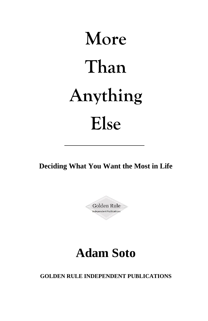# **More Than Anything Else**

**Deciding What You Want the Most in Life**

Golden Rule Independent Publications

# **Adam Soto**

**GOLDEN RULE INDEPENDENT PUBLICATIONS**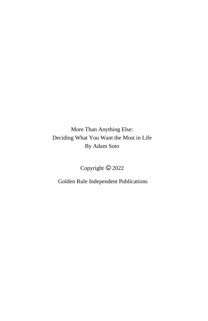More Than Anything Else: Deciding What You Want the Most in Life By Adam Soto

Copyright  $© 2022$ 

Golden Rule Independent Publications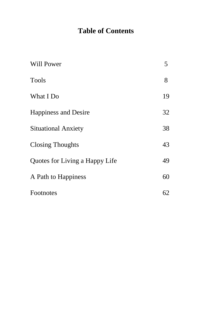## **Table of Contents**

| Will Power                     | 5  |
|--------------------------------|----|
| <b>Tools</b>                   | 8  |
| What I Do                      | 19 |
| <b>Happiness and Desire</b>    | 32 |
| <b>Situational Anxiety</b>     | 38 |
| <b>Closing Thoughts</b>        | 43 |
| Quotes for Living a Happy Life | 49 |
| A Path to Happiness            | 60 |
| Footnotes                      | 62 |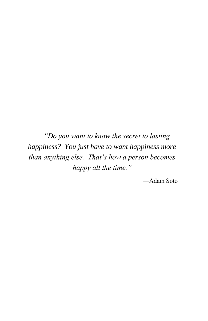*"Do you want to know the secret to lasting happiness? You just have to want happiness more than anything else. That's how a person becomes happy all the time."*

―Adam Soto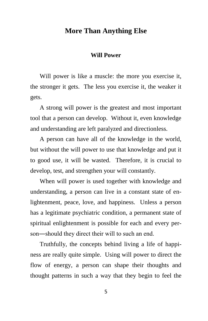#### **More Than Anything Else**

#### **Will Power**

Will power is like a muscle: the more you exercise it, the stronger it gets. The less you exercise it, the weaker it gets.

A strong will power is the greatest and most important tool that a person can develop. Without it, even knowledge and understanding are left paralyzed and directionless.

A person can have all of the knowledge in the world, but without the will power to use that knowledge and put it to good use, it will be wasted. Therefore, it is crucial to develop, test, and strengthen your will constantly.

When will power is used together with knowledge and understanding, a person can live in a constant state of enlightenment, peace, love, and happiness. Unless a person has a legitimate psychiatric condition, a permanent state of spiritual enlightenment is possible for each and every person―should they direct their will to such an end.

Truthfully, the concepts behind living a life of happiness are really quite simple. Using will power to direct the flow of energy, a person can shape their thoughts and thought patterns in such a way that they begin to feel the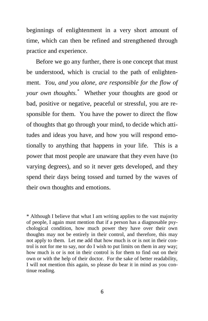beginnings of enlightenment in a very short amount of time, which can then be refined and strengthened through practice and experience.

Before we go any further, there is one concept that must be understood, which is crucial to the path of enlightenment. *You, and you alone, are responsible for the flow of your own thoughts.\** Whether your thoughts are good or bad, positive or negative, peaceful or stressful, you are responsible for them. You have the power to direct the flow of thoughts that go through your mind, to decide which attitudes and ideas you have, and how you will respond emotionally to anything that happens in your life. This is a power that most people are unaware that they even have (to varying degrees), and so it never gets developed, and they spend their days being tossed and turned by the waves of their own thoughts and emotions.

\* Although I believe that what I am writing applies to the vast majority of people, I again must mention that if a person has a diagnosable psychological condition, how much power they have over their own thoughts may not be entirely in their control, and therefore, this may not apply to them. Let me add that how much is or is not in their control is not for me to say, nor do I wish to put limits on them in any way; how much is or is not in their control is for them to find out on their own or with the help of their doctor. For the sake of better readability, I will not mention this again, so please do bear it in mind as you continue reading.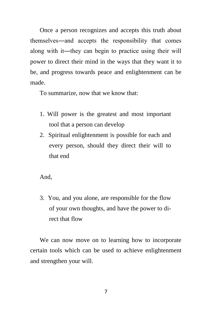Once a person recognizes and accepts this truth about themselves―and accepts the responsibility that comes along with it―they can begin to practice using their will power to direct their mind in the ways that they want it to be, and progress towards peace and enlightenment can be made.

To summarize, now that we know that:

- 1. Will power is the greatest and most important tool that a person can develop
- 2. Spiritual enlightenment is possible for each and every person, should they direct their will to that end

And,

3. You, and you alone, are responsible for the flow of your own thoughts, and have the power to direct that flow

We can now move on to learning how to incorporate certain tools which can be used to achieve enlightenment and strengthen your will.

7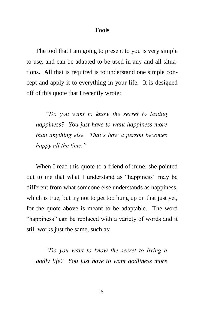#### **Tools**

The tool that I am going to present to you is very simple to use, and can be adapted to be used in any and all situations. All that is required is to understand one simple concept and apply it to everything in your life. It is designed off of this quote that I recently wrote:

*"Do you want to know the secret to lasting happiness? You just have to want happiness more than anything else. That's how a person becomes happy all the time."*

When I read this quote to a friend of mine, she pointed out to me that what I understand as "happiness" may be different from what someone else understands as happiness, which is true, but try not to get too hung up on that just yet, for the quote above is meant to be adaptable. The word "happiness" can be replaced with a variety of words and it still works just the same, such as:

*"Do you want to know the secret to living a godly life? You just have to want godliness more*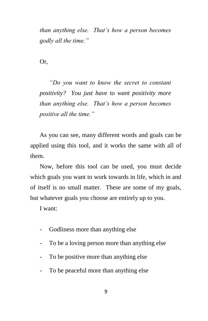*than anything else. That's how a person becomes godly all the time."*

Or,

*"Do you want to know the secret to constant positivity? You just have to want positivity more than anything else. That's how a person becomes positive all the time."*

As you can see, many different words and goals can be applied using this tool, and it works the same with all of them.

Now, before this tool can be used, you must decide which goals you want to work towards in life, which in and of itself is no small matter. These are some of my goals, but whatever goals you choose are entirely up to you.

I want:

- Godliness more than anything else
- To be a loving person more than anything else
- To be positive more than anything else
- To be peaceful more than anything else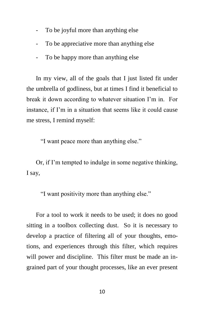- To be joyful more than anything else
- To be appreciative more than anything else
- To be happy more than anything else

In my view, all of the goals that I just listed fit under the umbrella of godliness, but at times I find it beneficial to break it down according to whatever situation I'm in. For instance, if I'm in a situation that seems like it could cause me stress, I remind myself:

"I want peace more than anything else."

Or, if I'm tempted to indulge in some negative thinking, I say,

"I want positivity more than anything else."

For a tool to work it needs to be used; it does no good sitting in a toolbox collecting dust. So it is necessary to develop a practice of filtering all of your thoughts, emotions, and experiences through this filter, which requires will power and discipline. This filter must be made an ingrained part of your thought processes, like an ever present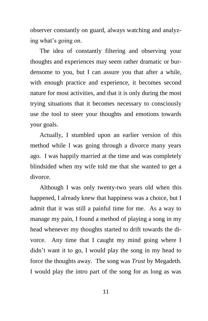observer constantly on guard, always watching and analyzing what's going on.

The idea of constantly filtering and observing your thoughts and experiences may seem rather dramatic or burdensome to you, but I can assure you that after a while, with enough practice and experience, it becomes second nature for most activities, and that it is only during the most trying situations that it becomes necessary to consciously use the tool to steer your thoughts and emotions towards your goals.

Actually, I stumbled upon an earlier version of this method while I was going through a divorce many years ago. I was happily married at the time and was completely blindsided when my wife told me that she wanted to get a divorce.

Although I was only twenty-two years old when this happened, I already knew that happiness was a choice, but I admit that it was still a painful time for me. As a way to manage my pain, I found a method of playing a song in my head whenever my thoughts started to drift towards the divorce. Any time that I caught my mind going where I didn't want it to go, I would play the song in my head to force the thoughts away. The song was *Trust* by Megadeth. I would play the intro part of the song for as long as was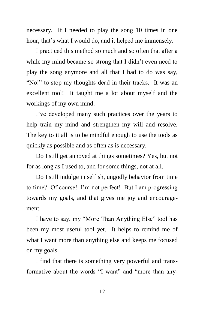necessary. If I needed to play the song 10 times in one hour, that's what I would do, and it helped me immensely.

I practiced this method so much and so often that after a while my mind became so strong that I didn't even need to play the song anymore and all that I had to do was say, "No!" to stop my thoughts dead in their tracks. It was an excellent tool! It taught me a lot about myself and the workings of my own mind.

I've developed many such practices over the years to help train my mind and strengthen my will and resolve. The key to it all is to be mindful enough to use the tools as quickly as possible and as often as is necessary.

Do I still get annoyed at things sometimes? Yes, but not for as long as I used to, and for some things, not at all.

Do I still indulge in selfish, ungodly behavior from time to time? Of course! I'm not perfect! But I am progressing towards my goals, and that gives me joy and encouragement.

I have to say, my "More Than Anything Else" tool has been my most useful tool yet. It helps to remind me of what I want more than anything else and keeps me focused on my goals.

I find that there is something very powerful and transformative about the words "I want" and "more than any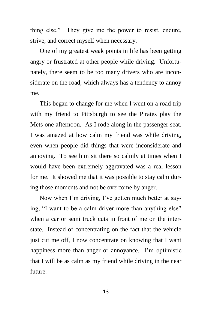thing else." They give me the power to resist, endure, strive, and correct myself when necessary.

One of my greatest weak points in life has been getting angry or frustrated at other people while driving. Unfortunately, there seem to be too many drivers who are inconsiderate on the road, which always has a tendency to annoy me.

This began to change for me when I went on a road trip with my friend to Pittsburgh to see the Pirates play the Mets one afternoon. As I rode along in the passenger seat, I was amazed at how calm my friend was while driving, even when people did things that were inconsiderate and annoying. To see him sit there so calmly at times when I would have been extremely aggravated was a real lesson for me. It showed me that it was possible to stay calm during those moments and not be overcome by anger.

Now when I'm driving, I've gotten much better at saying, "I want to be a calm driver more than anything else" when a car or semi truck cuts in front of me on the interstate. Instead of concentrating on the fact that the vehicle just cut me off, I now concentrate on knowing that I want happiness more than anger or annoyance. I'm optimistic that I will be as calm as my friend while driving in the near future.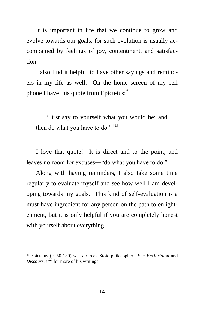It is important in life that we continue to grow and evolve towards our goals, for such evolution is usually accompanied by feelings of joy, contentment, and satisfaction.

I also find it helpful to have other sayings and reminders in my life as well. On the home screen of my cell phone I have this quote from Epictetus:<sup>\*</sup>

"First say to yourself what you would be; and then do what you have to do."  $[1]$ 

I love that quote! It is direct and to the point, and leaves no room for excuses―"do what you have to do."

Along with having reminders, I also take some time regularly to evaluate myself and see how well I am developing towards my goals. This kind of self-evaluation is a must-have ingredient for any person on the path to enlightenment, but it is only helpful if you are completely honest with yourself about everything.

<sup>\*</sup> Epictetus (c. 50-130) was a Greek Stoic philosopher. See *Enchiridion* and *Discourses[2]* for more of his writings.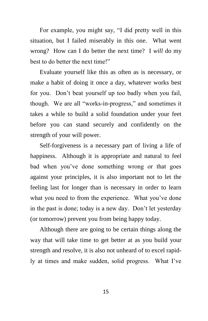For example, you might say, "I did pretty well in this situation, but I failed miserably in this one. What went wrong? How can I do better the next time? I *will* do my best to do better the next time!"

Evaluate yourself like this as often as is necessary, or make a habit of doing it once a day, whatever works best for you. Don't beat yourself up too badly when you fail, though. We are all "works-in-progress," and sometimes it takes a while to build a solid foundation under your feet before you can stand securely and confidently on the strength of your will power.

Self-forgiveness is a necessary part of living a life of happiness. Although it is appropriate and natural to feel bad when you've done something wrong or that goes against your principles, it is also important not to let the feeling last for longer than is necessary in order to learn what you need to from the experience. What you've done in the past is done; today is a new day. Don't let yesterday (or tomorrow) prevent you from being happy today.

Although there are going to be certain things along the way that will take time to get better at as you build your strength and resolve, it is also not unheard of to excel rapidly at times and make sudden, solid progress. What I've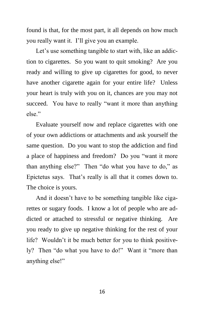found is that, for the most part, it all depends on how much you really want it. I'll give you an example.

Let's use something tangible to start with, like an addiction to cigarettes. So you want to quit smoking? Are you ready and willing to give up cigarettes for good, to never have another cigarette again for your entire life? Unless your heart is truly with you on it, chances are you may not succeed. You have to really "want it more than anything else."

Evaluate yourself now and replace cigarettes with one of your own addictions or attachments and ask yourself the same question. Do you want to stop the addiction and find a place of happiness and freedom? Do you "want it more than anything else?" Then "do what you have to do," as Epictetus says. That's really is all that it comes down to. The choice is yours.

And it doesn't have to be something tangible like cigarettes or sugary foods. I know a lot of people who are addicted or attached to stressful or negative thinking. Are you ready to give up negative thinking for the rest of your life? Wouldn't it be much better for you to think positively? Then "do what you have to do!" Want it "more than anything else!"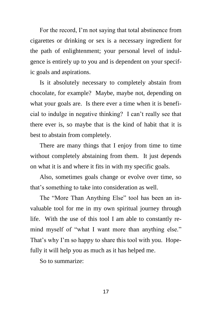For the record, I'm not saying that total abstinence from cigarettes or drinking or sex is a necessary ingredient for the path of enlightenment; your personal level of indulgence is entirely up to you and is dependent on your specific goals and aspirations.

Is it absolutely necessary to completely abstain from chocolate, for example? Maybe, maybe not, depending on what your goals are. Is there ever a time when it is beneficial to indulge in negative thinking? I can't really see that there ever is, so maybe that is the kind of habit that it is best to abstain from completely.

There are many things that I enjoy from time to time without completely abstaining from them. It just depends on what it is and where it fits in with my specific goals.

Also, sometimes goals change or evolve over time, so that's something to take into consideration as well.

The "More Than Anything Else" tool has been an invaluable tool for me in my own spiritual journey through life. With the use of this tool I am able to constantly remind myself of "what I want more than anything else." That's why I'm so happy to share this tool with you. Hopefully it will help you as much as it has helped me.

So to summarize: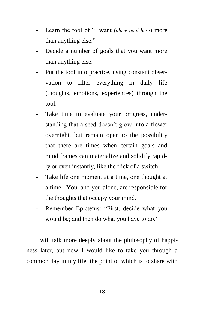- Learn the tool of "I want *(place goal here)* more than anything else."
- Decide a number of goals that you want more than anything else.
- Put the tool into practice, using constant observation to filter everything in daily life (thoughts, emotions, experiences) through the tool.
- Take time to evaluate your progress, understanding that a seed doesn't grow into a flower overnight, but remain open to the possibility that there are times when certain goals and mind frames can materialize and solidify rapidly or even instantly, like the flick of a switch.
- Take life one moment at a time, one thought at a time. You, and you alone, are responsible for the thoughts that occupy your mind.
- Remember Epictetus: "First, decide what you would be; and then do what you have to do."

I will talk more deeply about the philosophy of happiness later, but now I would like to take you through a common day in my life, the point of which is to share with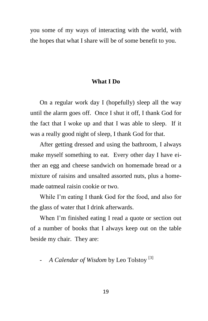you some of my ways of interacting with the world, with the hopes that what I share will be of some benefit to you.

#### **What I Do**

On a regular work day I (hopefully) sleep all the way until the alarm goes off. Once I shut it off, I thank God for the fact that I woke up and that I was able to sleep. If it was a really good night of sleep, I thank God for that.

After getting dressed and using the bathroom, I always make myself something to eat. Every other day I have either an egg and cheese sandwich on homemade bread or a mixture of raisins and unsalted assorted nuts, plus a homemade oatmeal raisin cookie or two.

While I'm eating I thank God for the food, and also for the glass of water that I drink afterwards.

When I'm finished eating I read a quote or section out of a number of books that I always keep out on the table beside my chair. They are:

#### - *A Calendar of Wisdom* by Leo Tolstoy<sup>[3]</sup>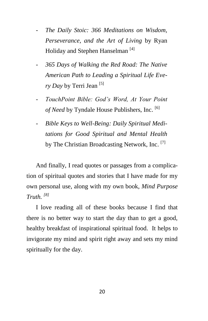- *The Daily Stoic: 366 Meditations on Wisdom, Perseverance, and the Art of Living* by Ryan Holiday and Stephen Hanselman<sup>[4]</sup>
- *365 Days of Walking the Red Road: The Native American Path to Leading a Spiritual Life Every Day* by Terri Jean [5]
- *TouchPoint Bible: God's Word, At Your Point of Need* by Tyndale House Publishers, Inc. [6]
- *Bible Keys to Well-Being: Daily Spiritual Meditations for Good Spiritual and Mental Health* by The Christian Broadcasting Network, Inc.<sup>[7]</sup>

And finally, I read quotes or passages from a complication of spiritual quotes and stories that I have made for my own personal use, along with my own book, *Mind Purpose Truth. [8]*

I love reading all of these books because I find that there is no better way to start the day than to get a good, healthy breakfast of inspirational spiritual food. It helps to invigorate my mind and spirit right away and sets my mind spiritually for the day.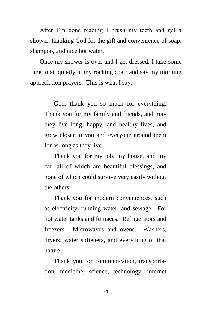After I'm done reading I brush my teeth and get a shower, thanking God for the gift and convenience of soap, shampoo, and nice hot water.

Once my shower is over and I get dressed, I take some time to sit quietly in my rocking chair and say my morning appreciation prayers. This is what I say:

God, thank you so much for everything. Thank you for my family and friends, and may they live long, happy, and healthy lives, and grow closer to you and everyone around them for as long as they live.

Thank you for my job, my house, and my car, all of which are beautiful blessings, and none of which could survive very easily without the others.

Thank you for modern conveniences, such as electricity, running water, and sewage. For hot water tanks and furnaces. Refrigerators and freezers. Microwaves and ovens. Washers, dryers, water softeners, and everything of that nature.

Thank you for communication, transportation, medicine, science, technology, internet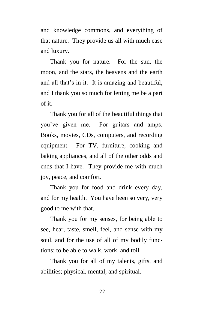and knowledge commons, and everything of that nature. They provide us all with much ease and luxury.

Thank you for nature. For the sun, the moon, and the stars, the heavens and the earth and all that's in it. It is amazing and beautiful, and I thank you so much for letting me be a part of it.

Thank you for all of the beautiful things that you've given me. For guitars and amps. Books, movies, CDs, computers, and recording equipment. For TV, furniture, cooking and baking appliances, and all of the other odds and ends that I have. They provide me with much joy, peace, and comfort.

Thank you for food and drink every day, and for my health. You have been so very, very good to me with that.

Thank you for my senses, for being able to see, hear, taste, smell, feel, and sense with my soul, and for the use of all of my bodily functions; to be able to walk, work, and toil.

Thank you for all of my talents, gifts, and abilities; physical, mental, and spiritual.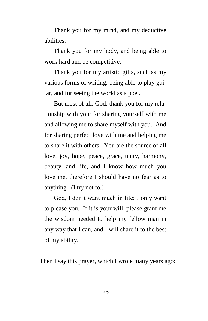Thank you for my mind, and my deductive abilities.

Thank you for my body, and being able to work hard and be competitive.

Thank you for my artistic gifts, such as my various forms of writing, being able to play guitar, and for seeing the world as a poet.

But most of all, God, thank you for my relationship with you; for sharing yourself with me and allowing me to share myself with you. And for sharing perfect love with me and helping me to share it with others. You are the source of all love, joy, hope, peace, grace, unity, harmony, beauty, and life, and I know how much you love me, therefore I should have no fear as to anything. (I try not to.)

God, I don't want much in life; I only want to please you. If it is your will, please grant me the wisdom needed to help my fellow man in any way that I can, and I will share it to the best of my ability.

Then I say this prayer, which I wrote many years ago: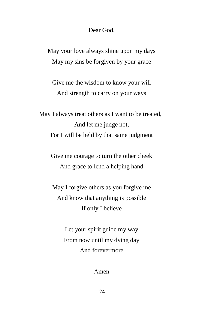Dear God,

May your love always shine upon my days May my sins be forgiven by your grace

Give me the wisdom to know your will And strength to carry on your ways

May I always treat others as I want to be treated, And let me judge not, For I will be held by that same judgment

Give me courage to turn the other cheek And grace to lend a helping hand

May I forgive others as you forgive me And know that anything is possible If only I believe

> Let your spirit guide my way From now until my dying day And forevermore

> > Amen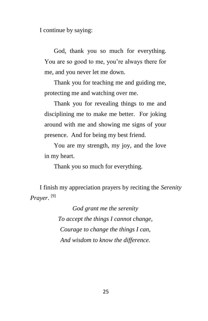I continue by saying:

God, thank you so much for everything. You are so good to me, you're always there for me, and you never let me down.

Thank you for teaching me and guiding me, protecting me and watching over me.

Thank you for revealing things to me and disciplining me to make me better. For joking around with me and showing me signs of your presence. And for being my best friend.

You are my strength, my joy, and the love in my heart.

Thank you so much for everything.

I finish my appreciation prayers by reciting the *Serenity Prayer*. [9]

> *God grant me the serenity To accept the things I cannot change, Courage to change the things I can, And wisdom to know the difference.*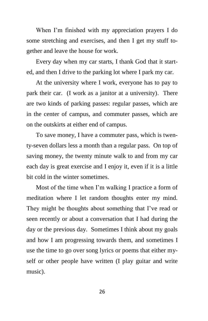When I'm finished with my appreciation prayers I do some stretching and exercises, and then I get my stuff together and leave the house for work.

Every day when my car starts, I thank God that it started, and then I drive to the parking lot where I park my car.

At the university where I work, everyone has to pay to park their car. (I work as a janitor at a university). There are two kinds of parking passes: regular passes, which are in the center of campus, and commuter passes, which are on the outskirts at either end of campus.

To save money, I have a commuter pass, which is twenty-seven dollars less a month than a regular pass. On top of saving money, the twenty minute walk to and from my car each day is great exercise and I enjoy it, even if it is a little bit cold in the winter sometimes.

Most of the time when I'm walking I practice a form of meditation where I let random thoughts enter my mind. They might be thoughts about something that I've read or seen recently or about a conversation that I had during the day or the previous day. Sometimes I think about my goals and how I am progressing towards them, and sometimes I use the time to go over song lyrics or poems that either myself or other people have written (I play guitar and write music).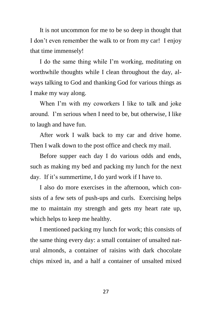It is not uncommon for me to be so deep in thought that I don't even remember the walk to or from my car! I enjoy that time immensely!

I do the same thing while I'm working, meditating on worthwhile thoughts while I clean throughout the day, always talking to God and thanking God for various things as I make my way along.

When I'm with my coworkers I like to talk and joke around. I'm serious when I need to be, but otherwise, I like to laugh and have fun.

After work I walk back to my car and drive home. Then I walk down to the post office and check my mail.

Before supper each day I do various odds and ends, such as making my bed and packing my lunch for the next day. If it's summertime, I do yard work if I have to.

I also do more exercises in the afternoon, which consists of a few sets of push-ups and curls. Exercising helps me to maintain my strength and gets my heart rate up, which helps to keep me healthy.

I mentioned packing my lunch for work; this consists of the same thing every day: a small container of unsalted natural almonds, a container of raisins with dark chocolate chips mixed in, and a half a container of unsalted mixed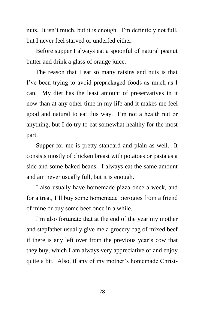nuts. It isn't much, but it is enough. I'm definitely not full, but I never feel starved or underfed either.

Before supper I always eat a spoonful of natural peanut butter and drink a glass of orange juice.

The reason that I eat so many raisins and nuts is that I've been trying to avoid prepackaged foods as much as I can. My diet has the least amount of preservatives in it now than at any other time in my life and it makes me feel good and natural to eat this way. I'm not a health nut or anything, but I do try to eat somewhat healthy for the most part.

Supper for me is pretty standard and plain as well. It consists mostly of chicken breast with potatoes or pasta as a side and some baked beans. I always eat the same amount and am never usually full, but it is enough.

I also usually have homemade pizza once a week, and for a treat, I'll buy some homemade pierogies from a friend of mine or buy some beef once in a while.

I'm also fortunate that at the end of the year my mother and stepfather usually give me a grocery bag of mixed beef if there is any left over from the previous year's cow that they buy, which I am always very appreciative of and enjoy quite a bit. Also, if any of my mother's homemade Christ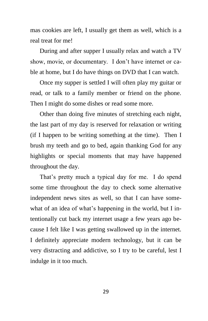mas cookies are left, I usually get them as well, which is a real treat for me!

During and after supper I usually relax and watch a TV show, movie, or documentary. I don't have internet or cable at home, but I do have things on DVD that I can watch.

Once my supper is settled I will often play my guitar or read, or talk to a family member or friend on the phone. Then I might do some dishes or read some more.

Other than doing five minutes of stretching each night, the last part of my day is reserved for relaxation or writing (if I happen to be writing something at the time). Then I brush my teeth and go to bed, again thanking God for any highlights or special moments that may have happened throughout the day.

That's pretty much a typical day for me. I do spend some time throughout the day to check some alternative independent news sites as well, so that I can have somewhat of an idea of what's happening in the world, but I intentionally cut back my internet usage a few years ago because I felt like I was getting swallowed up in the internet. I definitely appreciate modern technology, but it can be very distracting and addictive, so I try to be careful, lest I indulge in it too much.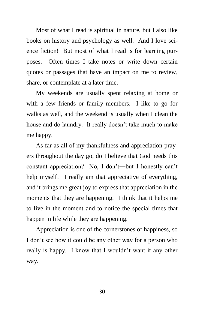Most of what I read is spiritual in nature, but I also like books on history and psychology as well. And I love science fiction! But most of what I read is for learning purposes. Often times I take notes or write down certain quotes or passages that have an impact on me to review, share, or contemplate at a later time.

My weekends are usually spent relaxing at home or with a few friends or family members. I like to go for walks as well, and the weekend is usually when I clean the house and do laundry. It really doesn't take much to make me happy.

As far as all of my thankfulness and appreciation prayers throughout the day go, do I believe that God needs this constant appreciation? No, I don't―but I honestly can't help myself! I really am that appreciative of everything, and it brings me great joy to express that appreciation in the moments that they are happening. I think that it helps me to live in the moment and to notice the special times that happen in life while they are happening.

Appreciation is one of the cornerstones of happiness, so I don't see how it could be any other way for a person who really is happy. I know that I wouldn't want it any other way.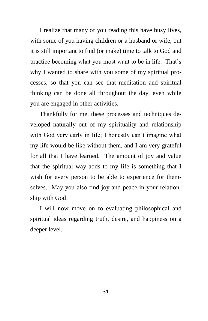I realize that many of you reading this have busy lives, with some of you having children or a husband or wife, but it is still important to find (or make) time to talk to God and practice becoming what you most want to be in life. That's why I wanted to share with you some of my spiritual processes, so that you can see that meditation and spiritual thinking can be done all throughout the day, even while you are engaged in other activities.

Thankfully for me, these processes and techniques developed naturally out of my spirituality and relationship with God very early in life; I honestly can't imagine what my life would be like without them, and I am very grateful for all that I have learned. The amount of joy and value that the spiritual way adds to my life is something that I wish for every person to be able to experience for themselves. May you also find joy and peace in your relationship with God!

I will now move on to evaluating philosophical and spiritual ideas regarding truth, desire, and happiness on a deeper level.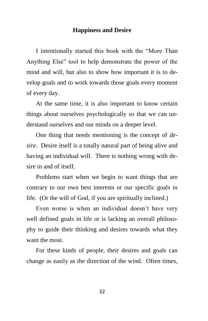#### **Happiness and Desire**

I intentionally started this book with the "More Than Anything Else" tool to help demonstrate the power of the mind and will, but also to show how important it is to develop goals and to work towards those goals every moment of every day.

At the same time, it is also important to know certain things about ourselves psychologically so that we can understand ourselves and our minds on a deeper level.

One thing that needs mentioning is the concept of *desire*. Desire itself is a totally natural part of being alive and having an individual will. There is nothing wrong with desire in and of itself.

Problems start when we begin to want things that are contrary to our own best interests or our specific goals in life. (Or the will of God, if you are spiritually inclined.)

Even worse is when an individual doesn't have very well defined goals in life or is lacking an overall philosophy to guide their thinking and desires towards what they want the most.

For these kinds of people, their desires and goals can change as easily as the direction of the wind. Often times,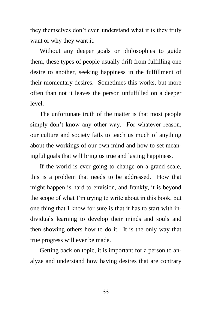they themselves don't even understand what it is they truly want or why they want it.

Without any deeper goals or philosophies to guide them, these types of people usually drift from fulfilling one desire to another, seeking happiness in the fulfillment of their momentary desires. Sometimes this works, but more often than not it leaves the person unfulfilled on a deeper level.

The unfortunate truth of the matter is that most people simply don't know any other way. For whatever reason, our culture and society fails to teach us much of anything about the workings of our own mind and how to set meaningful goals that will bring us true and lasting happiness.

If the world is ever going to change on a grand scale, this is a problem that needs to be addressed. How that might happen is hard to envision, and frankly, it is beyond the scope of what I'm trying to write about in this book, but one thing that I know for sure is that it has to start with individuals learning to develop their minds and souls and then showing others how to do it. It is the only way that true progress will ever be made.

Getting back on topic, it is important for a person to analyze and understand how having desires that are contrary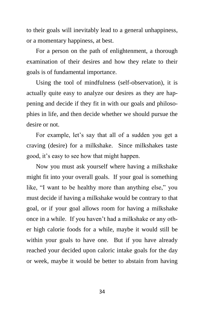to their goals will inevitably lead to a general unhappiness, or a momentary happiness, at best.

For a person on the path of enlightenment, a thorough examination of their desires and how they relate to their goals is of fundamental importance.

Using the tool of mindfulness (self-observation), it is actually quite easy to analyze our desires as they are happening and decide if they fit in with our goals and philosophies in life, and then decide whether we should pursue the desire or not.

For example, let's say that all of a sudden you get a craving (desire) for a milkshake. Since milkshakes taste good, it's easy to see how that might happen.

Now you must ask yourself where having a milkshake might fit into your overall goals. If your goal is something like, "I want to be healthy more than anything else," you must decide if having a milkshake would be contrary to that goal, or if your goal allows room for having a milkshake once in a while. If you haven't had a milkshake or any other high calorie foods for a while, maybe it would still be within your goals to have one. But if you have already reached your decided upon caloric intake goals for the day or week, maybe it would be better to abstain from having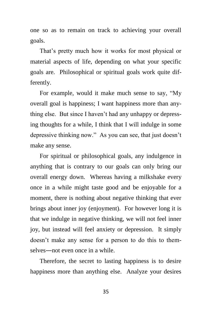one so as to remain on track to achieving your overall goals.

That's pretty much how it works for most physical or material aspects of life, depending on what your specific goals are. Philosophical or spiritual goals work quite differently.

For example, would it make much sense to say, "My overall goal is happiness; I want happiness more than anything else. But since I haven't had any unhappy or depressing thoughts for a while, I think that I will indulge in some depressive thinking now." As you can see, that just doesn't make any sense.

For spiritual or philosophical goals, any indulgence in anything that is contrary to our goals can only bring our overall energy down. Whereas having a milkshake every once in a while might taste good and be enjoyable for a moment, there is nothing about negative thinking that ever brings about inner joy (enjoyment). For however long it is that we indulge in negative thinking, we will not feel inner joy, but instead will feel anxiety or depression. It simply doesn't make any sense for a person to do this to themselves―not even once in a while.

Therefore, the secret to lasting happiness is to desire happiness more than anything else. Analyze your desires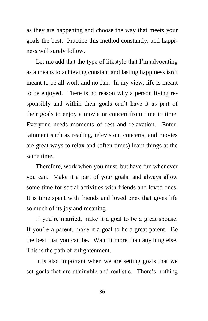as they are happening and choose the way that meets your goals the best. Practice this method constantly, and happiness will surely follow.

Let me add that the type of lifestyle that I'm advocating as a means to achieving constant and lasting happiness isn't meant to be all work and no fun. In my view, life is meant to be enjoyed. There is no reason why a person living responsibly and within their goals can't have it as part of their goals to enjoy a movie or concert from time to time. Everyone needs moments of rest and relaxation. Entertainment such as reading, television, concerts, and movies are great ways to relax and (often times) learn things at the same time.

Therefore, work when you must, but have fun whenever you can. Make it a part of your goals, and always allow some time for social activities with friends and loved ones. It is time spent with friends and loved ones that gives life so much of its joy and meaning.

If you're married, make it a goal to be a great spouse. If you're a parent, make it a goal to be a great parent. Be the best that you can be. Want it more than anything else. This is the path of enlightenment.

It is also important when we are setting goals that we set goals that are attainable and realistic. There's nothing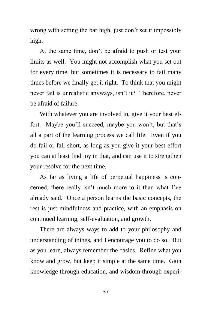wrong with setting the bar high, just don't set it impossibly high.

At the same time, don't be afraid to push or test your limits as well. You might not accomplish what you set out for every time, but sometimes it is necessary to fail many times before we finally get it right. To think that you might never fail is unrealistic anyways, isn't it? Therefore, never be afraid of failure.

With whatever you are involved in, give it your best effort. Maybe you'll succeed, maybe you won't, but that's all a part of the learning process we call life. Even if you do fail or fall short, as long as you give it your best effort you can at least find joy in that, and can use it to strengthen your resolve for the next time.

As far as living a life of perpetual happiness is concerned, there really isn't much more to it than what I've already said. Once a person learns the basic concepts, the rest is just mindfulness and practice, with an emphasis on continued learning, self-evaluation, and growth.

There are always ways to add to your philosophy and understanding of things, and I encourage you to do so. But as you learn, always remember the basics. Refine what you know and grow, but keep it simple at the same time. Gain knowledge through education, and wisdom through experi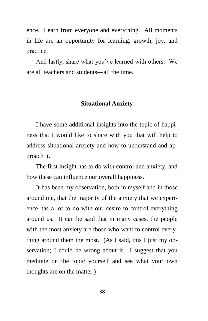ence. Learn from everyone and everything. All moments in life are an opportunity for learning, growth, joy, and practice.

And lastly, share what you've learned with others. We are all teachers and students―all the time.

#### **Situational Anxiety**

I have some additional insights into the topic of happiness that I would like to share with you that will help to address situational anxiety and how to understand and approach it.

The first insight has to do with control and anxiety, and how these can influence our overall happiness.

It has been my observation, both in myself and in those around me, that the majority of the anxiety that we experience has a lot to do with our desire to control everything around us. It can be said that in many cases, the people with the most anxiety are those who want to control everything around them the most. (As I said, this I just my observation; I could be wrong about it. I suggest that you meditate on the topic yourself and see what your own thoughts are on the matter.)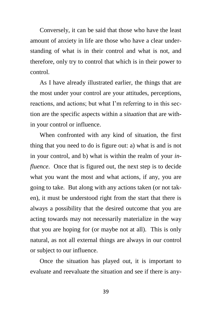Conversely, it can be said that those who have the least amount of anxiety in life are those who have a clear understanding of what is in their control and what is not, and therefore, only try to control that which is in their power to control.

As I have already illustrated earlier, the things that are the most under your control are your attitudes, perceptions, reactions, and actions; but what I'm referring to in this section are the specific aspects within a *situation* that are within your control or influence.

When confronted with any kind of situation, the first thing that you need to do is figure out: a) what is and is not in your control, and b) what is within the realm of your *influence*. Once that is figured out, the next step is to decide what you want the most and what actions, if any, you are going to take. But along with any actions taken (or not taken), it must be understood right from the start that there is always a possibility that the desired outcome that you are acting towards may not necessarily materialize in the way that you are hoping for (or maybe not at all). This is only natural, as not all external things are always in our control or subject to our influence.

Once the situation has played out, it is important to evaluate and reevaluate the situation and see if there is any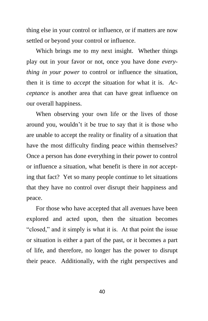thing else in your control or influence, or if matters are now settled or beyond your control or influence.

Which brings me to my next insight. Whether things play out in your favor or not, once you have done *everything in your power* to control or influence the situation, then it is time to *accept* the situation for what it is. *Acceptance* is another area that can have great influence on our overall happiness.

When observing your own life or the lives of those around you, wouldn't it be true to say that it is those who are unable to accept the reality or finality of a situation that have the most difficulty finding peace within themselves? Once a person has done everything in their power to control or influence a situation, what benefit is there in *not* accepting that fact? Yet so many people continue to let situations that they have no control over disrupt their happiness and peace.

For those who have accepted that all avenues have been explored and acted upon, then the situation becomes "closed," and it simply is what it is. At that point the issue or situation is either a part of the past, or it becomes a part of life, and therefore, no longer has the power to disrupt their peace. Additionally, with the right perspectives and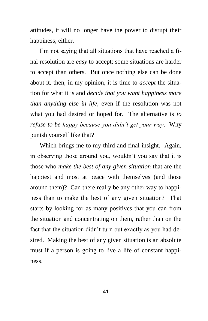attitudes, it will no longer have the power to disrupt their happiness, either.

I'm not saying that all situations that have reached a final resolution are *easy* to accept; some situations are harder to accept than others. But once nothing else can be done about it, then, in my opinion, it is time to *accept* the situation for what it is and *decide that you want happiness more than anything else in life*, even if the resolution was not what you had desired or hoped for. The alternative is *to refuse to be happy because you didn't get your way*. Why punish yourself like that?

Which brings me to my third and final insight. Again, in observing those around you, wouldn't you say that it is those who *make the best of any given situation* that are the happiest and most at peace with themselves (and those around them)? Can there really be any other way to happiness than to make the best of any given situation? That starts by looking for as many positives that you can from the situation and concentrating on them, rather than on the fact that the situation didn't turn out exactly as you had desired. Making the best of any given situation is an absolute must if a person is going to live a life of constant happiness.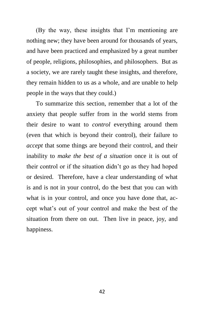(By the way, these insights that I'm mentioning are nothing new; they have been around for thousands of years, and have been practiced and emphasized by a great number of people, religions, philosophies, and philosophers. But as a society, we are rarely taught these insights, and therefore, they remain hidden to us as a whole, and are unable to help people in the ways that they could.)

To summarize this section, remember that a lot of the anxiety that people suffer from in the world stems from their desire to want to *control* everything around them (even that which is beyond their control), their failure to *accept* that some things are beyond their control, and their inability to *make the best of a situation* once it is out of their control or if the situation didn't go as they had hoped or desired. Therefore, have a clear understanding of what is and is not in your control, do the best that you can with what is in your control, and once you have done that, accept what's out of your control and make the best of the situation from there on out. Then live in peace, joy, and happiness.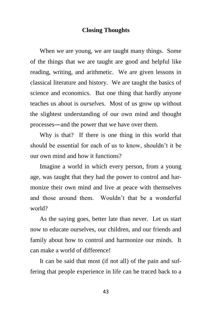#### **Closing Thoughts**

When we are young, we are taught many things. Some of the things that we are taught are good and helpful like reading, writing, and arithmetic. We are given lessons in classical literature and history. We are taught the basics of science and economics. But one thing that hardly anyone teaches us about is *ourselves*. Most of us grow up without the slightest understanding of our own mind and thought processes―and the power that we have over them.

Why is that? If there is one thing in this world that should be essential for each of us to know, shouldn't it be our own mind and how it functions?

Imagine a world in which every person, from a young age, was taught that they had the power to control and harmonize their own mind and live at peace with themselves and those around them. Wouldn't that be a wonderful world?

As the saying goes, better late than never. Let us start now to educate ourselves, our children, and our friends and family about how to control and harmonize our minds. It can make a world of difference!

It can be said that most (if not all) of the pain and suffering that people experience in life can be traced back to a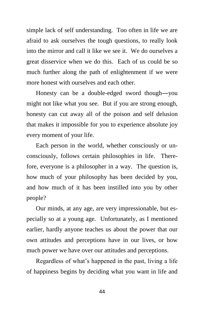simple lack of self understanding. Too often in life we are afraid to ask ourselves the tough questions, to really look into the mirror and call it like we see it. We do ourselves a great disservice when we do this. Each of us could be so much further along the path of enlightenment if we were more honest with ourselves and each other.

Honesty can be a double-edged sword though―you might not like what you see. But if you are strong enough, honesty can cut away all of the poison and self delusion that makes it impossible for you to experience absolute joy every moment of your life.

Each person in the world, whether consciously or unconsciously, follows certain philosophies in life. Therefore, everyone is a philosopher in a way. The question is, how much of your philosophy has been decided by you, and how much of it has been instilled into you by other people?

Our minds, at any age, are very impressionable, but especially so at a young age. Unfortunately, as I mentioned earlier, hardly anyone teaches us about the power that our own attitudes and perceptions have in our lives, or how much power we have over our attitudes and perceptions.

Regardless of what's happened in the past, living a life of happiness begins by deciding what you want in life and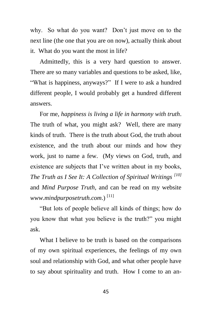why. So what do you want? Don't just move on to the next line (the one that you are on now), actually think about it. What do you want the most in life?

Admittedly, this is a very hard question to answer. There are so many variables and questions to be asked, like, "What is happiness, anyways?" If I were to ask a hundred different people, I would probably get a hundred different answers.

For me, *happiness is living a life in harmony with truth*. The truth of what, you might ask? Well, there are many kinds of truth. There is the truth about God, the truth about existence, and the truth about our minds and how they work, just to name a few. (My views on God, truth, and existence are subjects that I've written about in my books, *The Truth as I See It: A Collection of Spiritual Writings [10]* and *Mind Purpose Truth*, and can be read on my website *[www.mindpurposetruth.com](http://www.mindpurposetruth.com/)*.) [11]

"But lots of people believe all kinds of things; how do you know that what you believe is the truth?" you might ask.

What I believe to be truth is based on the comparisons of my own spiritual experiences, the feelings of my own soul and relationship with God, and what other people have to say about spirituality and truth. How I come to an an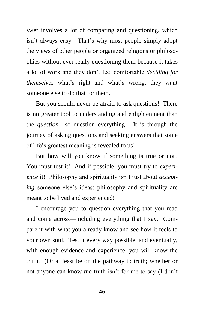swer involves a lot of comparing and questioning, which isn't always easy. That's why most people simply adopt the views of other people or organized religions or philosophies without ever really questioning them because it takes a lot of work and they don't feel comfortable *deciding for themselves* what's right and what's wrong; they want someone else to do that for them.

But you should never be afraid to ask questions! There is no greater tool to understanding and enlightenment than the *question*―so question everything! It is through the journey of asking questions and seeking answers that some of life's greatest meaning is revealed to us!

But how will you know if something is true or not? You must test it! And if possible, you must try to *experience* it! Philosophy and spirituality isn't just about *accepting* someone else's ideas; philosophy and spirituality are meant to be lived and experienced!

I encourage you to question everything that you read and come across―including everything that I say. Compare it with what you already know and see how it feels to your own soul. Test it every way possible, and eventually, with enough evidence and experience, you will know the truth. (Or at least be on the pathway to truth; whether or not anyone can know *the* truth isn't for me to say (I don't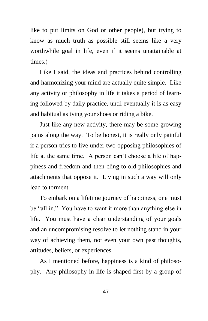like to put limits on God or other people), but trying to know as much truth as possible still seems like a very worthwhile goal in life, even if it seems unattainable at times.)

Like I said, the ideas and practices behind controlling and harmonizing your mind are actually quite simple. Like any activity or philosophy in life it takes a period of learning followed by daily practice, until eventually it is as easy and habitual as tying your shoes or riding a bike.

Just like any new activity, there may be some growing pains along the way. To be honest, it is really only painful if a person tries to live under two opposing philosophies of life at the same time. A person can't choose a life of happiness and freedom and then cling to old philosophies and attachments that oppose it. Living in such a way will only lead to torment.

To embark on a lifetime journey of happiness, one must be "all in." You have to want it more than anything else in life. You must have a clear understanding of your goals and an uncompromising resolve to let nothing stand in your way of achieving them, not even your own past thoughts, attitudes, beliefs, or experiences.

As I mentioned before, happiness is a kind of philosophy. Any philosophy in life is shaped first by a group of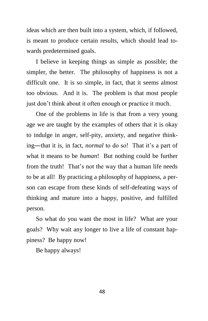ideas which are then built into a system, which, if followed, is meant to produce certain results, which should lead towards predetermined goals.

I believe in keeping things as simple as possible; the simpler, the better. The philosophy of happiness is not a difficult one. It is so simple, in fact, that it seems almost too obvious. And it is. The problem is that most people just don't think about it often enough or practice it much.

One of the problems in life is that from a very young age we are taught by the examples of others that it is okay to indulge in anger, self-pity, anxiety, and negative thinking―that it is, in fact, *normal* to do so! That it's a part of what it means to be *human*! But nothing could be further from the truth! That's not the way that a human life needs to be at all! By practicing a philosophy of happiness, a person can escape from these kinds of self-defeating ways of thinking and mature into a happy, positive, and fulfilled person.

So what do you want the most in life? What are your goals? Why wait any longer to live a life of constant happiness? Be happy now!

Be happy always!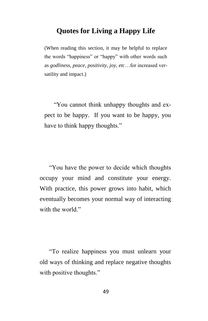#### **Quotes for Living a Happy Life**

(When reading this section, it may be helpful to replace the words "happiness" or "happy" with other words such as *godliness, peace, positivity, joy, etc*…for increased versatility and impact.)

"You cannot think unhappy thoughts and expect to be happy. If you want to be happy, you have to think happy thoughts."

"You have the power to decide which thoughts occupy your mind and constitute your energy. With practice, this power grows into habit, which eventually becomes your normal way of interacting with the world."

"To realize happiness you must unlearn your old ways of thinking and replace negative thoughts with positive thoughts."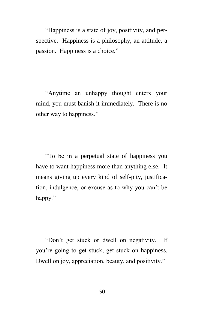"Happiness is a state of joy, positivity, and perspective. Happiness is a philosophy, an attitude, a passion. Happiness is a choice."

"Anytime an unhappy thought enters your mind, you must banish it immediately. There is no other way to happiness."

"To be in a perpetual state of happiness you have to want happiness more than anything else. It means giving up every kind of self-pity, justification, indulgence, or excuse as to why you can't be happy."

"Don't get stuck or dwell on negativity. If you're going to get stuck, get stuck on happiness. Dwell on joy, appreciation, beauty, and positivity."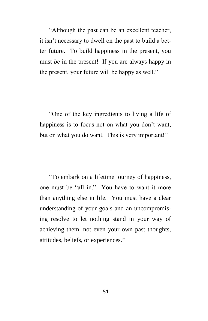"Although the past can be an excellent teacher, it isn't necessary to dwell on the past to build a better future. To build happiness in the present, you must *be* in the present! If you are always happy in the present, your future will be happy as well."

"One of the key ingredients to living a life of happiness is to focus not on what you don't want, but on what you do want. This is very important!"

"To embark on a lifetime journey of happiness, one must be "all in." You have to want it more than anything else in life. You must have a clear understanding of your goals and an uncompromising resolve to let nothing stand in your way of achieving them, not even your own past thoughts, attitudes, beliefs, or experiences."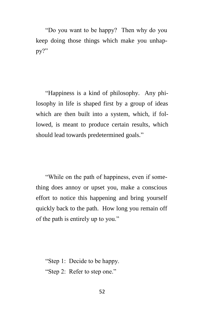"Do you want to be happy? Then why do you keep doing those things which make you unhappy?"

"Happiness is a kind of philosophy. Any philosophy in life is shaped first by a group of ideas which are then built into a system, which, if followed, is meant to produce certain results, which should lead towards predetermined goals."

"While on the path of happiness, even if something does annoy or upset you, make a conscious effort to notice this happening and bring yourself quickly back to the path. How long you remain off of the path is entirely up to you."

"Step 1: Decide to be happy. "Step 2: Refer to step one."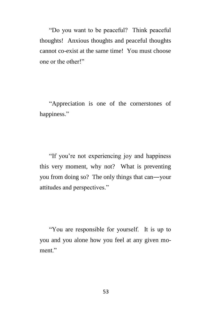"Do you want to be peaceful? Think peaceful thoughts! Anxious thoughts and peaceful thoughts cannot co-exist at the same time! You must choose one or the other!"

"Appreciation is one of the cornerstones of happiness."

"If you're not experiencing joy and happiness this very moment, why not? What is preventing you from doing so? The only things that can―your attitudes and perspectives."

"You are responsible for yourself. It is up to you and you alone how you feel at any given moment."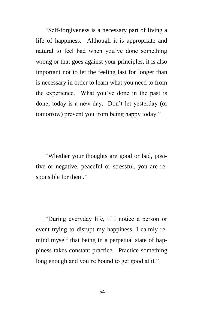"Self-forgiveness is a necessary part of living a life of happiness. Although it is appropriate and natural to feel bad when you've done something wrong or that goes against your principles, it is also important not to let the feeling last for longer than is necessary in order to learn what you need to from the experience. What you've done in the past is done; today is a new day. Don't let yesterday (or tomorrow) prevent you from being happy today."

"Whether your thoughts are good or bad, positive or negative, peaceful or stressful, you are responsible for them."

"During everyday life, if I notice a person or event trying to disrupt my happiness, I calmly remind myself that being in a perpetual state of happiness takes constant practice. Practice something long enough and you're bound to get good at it."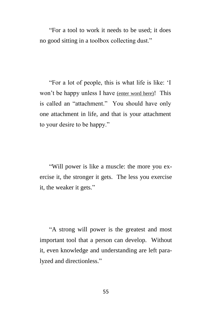"For a tool to work it needs to be used; it does no good sitting in a toolbox collecting dust."

"For a lot of people, this is what life is like: 'I won't be happy unless I have (enter word here)! This is called an "attachment." You should have only one attachment in life, and that is your attachment to your desire to be happy."

"Will power is like a muscle: the more you exercise it, the stronger it gets. The less you exercise it, the weaker it gets."

"A strong will power is the greatest and most important tool that a person can develop. Without it, even knowledge and understanding are left paralyzed and directionless."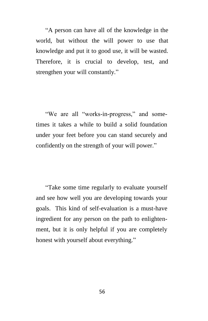"A person can have all of the knowledge in the world, but without the will power to use that knowledge and put it to good use, it will be wasted. Therefore, it is crucial to develop, test, and strengthen your will constantly."

"We are all "works-in-progress," and sometimes it takes a while to build a solid foundation under your feet before you can stand securely and confidently on the strength of your will power."

"Take some time regularly to evaluate yourself and see how well you are developing towards your goals. This kind of self-evaluation is a must-have ingredient for any person on the path to enlightenment, but it is only helpful if you are completely honest with yourself about everything."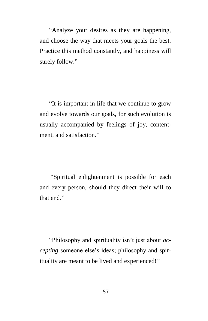"Analyze your desires as they are happening, and choose the way that meets your goals the best. Practice this method constantly, and happiness will surely follow."

"It is important in life that we continue to grow and evolve towards our goals, for such evolution is usually accompanied by feelings of joy, contentment, and satisfaction."

"Spiritual enlightenment is possible for each and every person, should they direct their will to that end."

"Philosophy and spirituality isn't just about *accepting* someone else's ideas; philosophy and spirituality are meant to be lived and experienced!"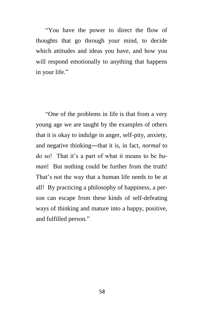"You have the power to direct the flow of thoughts that go through your mind, to decide which attitudes and ideas you have, and how you will respond emotionally to anything that happens in your life."

"One of the problems in life is that from a very young age we are taught by the examples of others that it is okay to indulge in anger, self-pity, anxiety, and negative thinking—that it is, in fact, *normal* to do so! That it's a part of what it means to be *human*! But nothing could be further from the truth! That's not the way that a human life needs to be at all! By practicing a philosophy of happiness, a person can escape from these kinds of self-defeating ways of thinking and mature into a happy, positive, and fulfilled person."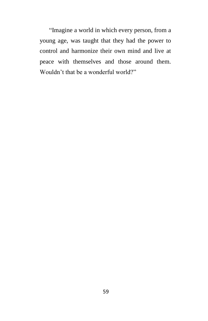"Imagine a world in which every person, from a young age, was taught that they had the power to control and harmonize their own mind and live at peace with themselves and those around them. Wouldn't that be a wonderful world?"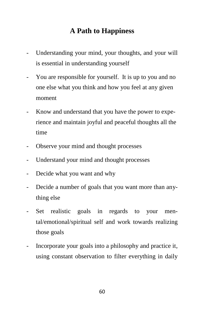### **A Path to Happiness**

- Understanding your mind, your thoughts, and your will is essential in understanding yourself
- You are responsible for yourself. It is up to you and no one else what you think and how you feel at any given moment
- Know and understand that you have the power to experience and maintain joyful and peaceful thoughts all the time
- Observe your mind and thought processes
- Understand your mind and thought processes
- Decide what you want and why
- Decide a number of goals that you want more than anything else
- Set realistic goals in regards to your mental/emotional/spiritual self and work towards realizing those goals
- Incorporate your goals into a philosophy and practice it, using constant observation to filter everything in daily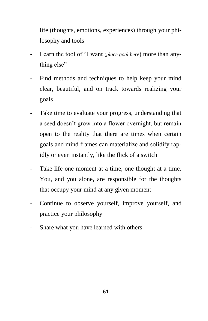life (thoughts, emotions, experiences) through your philosophy and tools

- Learn the tool of "I want (*place goal here*) more than anything else"
- Find methods and techniques to help keep your mind clear, beautiful, and on track towards realizing your goals
- Take time to evaluate your progress, understanding that a seed doesn't grow into a flower overnight, but remain open to the reality that there are times when certain goals and mind frames can materialize and solidify rapidly or even instantly, like the flick of a switch
- Take life one moment at a time, one thought at a time. You, and you alone, are responsible for the thoughts that occupy your mind at any given moment
- Continue to observe yourself, improve yourself, and practice your philosophy
- Share what you have learned with others